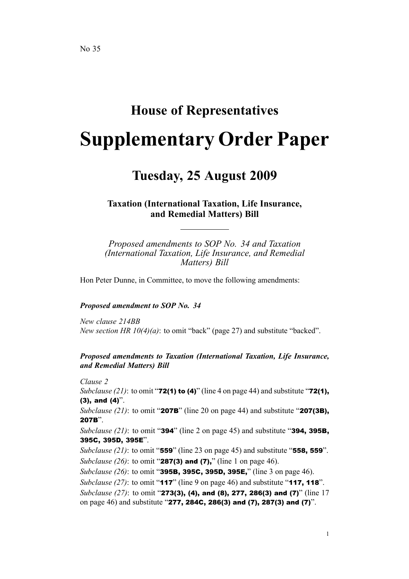# **House of Representatives Supplementary Order Paper**

## **Tuesday, 25 August 2009**

**Taxation (International Taxation, Life Insurance, and Remedial Matters) Bill**

*Proposed amendments to SOP No. 34 and Taxation (International Taxation, Life Insurance, and Remedial Matters) Bill*

Hon Peter Dunne, in Committee, to move the following amendments:

#### *Proposed amendment to SOP No. 34*

*New clause 214BB New section HR 10(4)(a)*: to omit "back" (page 27) and substitute "backed".

#### *Proposed amendments to Taxation (International Taxation, Life Insurance, and Remedial Matters) Bill*

*Clause 2 Subclause* (21): to omit "**72(1) to (4)**" (line 4 on page 44) and substitute "**72(1)**,  $(3)$ , and  $(4)$ ".

*Subclause (21)*: to omit "207B" (line 20 on page 44) and substitute "207(3B), 207B".

*Subclause (21)*: to omit "394" (line 2 on page 45) and substitute "394, 395B, 395C, 395D, 395E".

*Subclause (21)*: to omit "559" (line 23 on page 45) and substitute "558, <sup>559</sup>". *Subclause* (26): to omit "**287(3) and (7)**," (line 1 on page 46).

*Subclause (26)*: to omit "395B, 395C, 395D, 395E," (line 3 on page 46).

*Subclause* (27): to omit "**117**" (line 9 on page 46) and substitute "**117, 118**".

*Subclause* (27): to omit "**273(3), (4), and (8), 277, 286(3) and (7)**" (line 17 on page 46) and substitute "277, 284C, 286(3) and (7), 287(3) and (7)".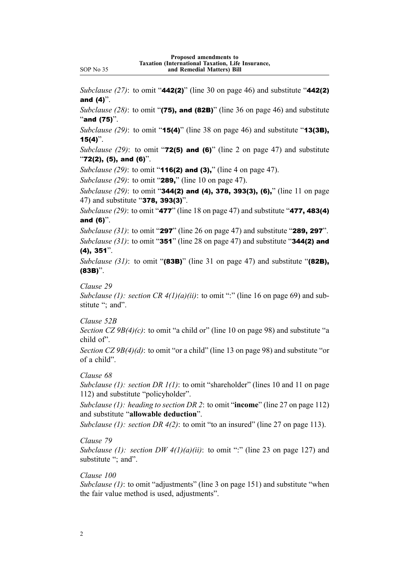*Subclause (27)*: to omit "442(2)" (line 30 on page 46) and substitute "442(2) and (4)".

*Subclause (28)*: to omit "(75), and (82B)" (line 36 on page 46) and substitute "and  $(75)$ ".

*Subclause (29)*: to omit "15(4)" (line 38 on page 46) and substitute "13(3B),  $15(4)$ ".

*Subclause* (29): to omit " $72(5)$  and  $(6)$ " (line 2 on page 47) and substitute  $"72(2), (5),$  and  $(6)$ ".

*Subclause* (29): to omit "**116(2) and (3),**" (line 4 on page 47).

*Subclause (29)*: to omit "289," (line 10 on page 47).

*Subclause (29)*: to omit "344(2) and (4), 378, 393(3), (6)," (line 11 on page 47) and substitute "378, 393(3)".

*Subclause (29)*: to omit "477" (line 18 on page 47) and substitute "477, 483(4) and (6)".

*Subclause (31)*: to omit "297" (line 26 on page 47) and substitute "289, <sup>297</sup>".

*Subclause (31)*: to omit "351" (line 28 on page 47) and substitute "344(2) and (4), 351".

*Subclause* (31): to omit "(83B)" (line 31 on page 47) and substitute "(82B), (83B)".

*Clause 29*

*Subclause* (1): *section CR*  $4(1)(a)(ii)$ : to omit ":" (line 16 on page 69) and substitute "; and".

*Clause 52B*

*Section CZ 9B(4)(c)*: to omit "a child or" (line 10 on page 98) and substitute "a child of".

*Section CZ 9B(4)(d)*: to omit "or <sup>a</sup> child" (line 13 on page 98) and substitute "or of <sup>a</sup> child".

#### *Clause 68*

*Subclause (1): section DR 1(1)*: to omit "shareholder" (lines 10 and 11 on page 112) and substitute "policyholder".

*Subclause (1): heading to section DR 2*: to omit "**income**" (line 27 on page 112) and substitute "**allowable deduction**".

*Subclause (1): section DR 4(2)*: to omit "to an insured" (line 27 on page 113).

#### *Clause 79*

*Subclause* (1): *section DW 4(1)(a)(ii)*: to omit ":" (line 23 on page 127) and substitute "; and".

#### *Clause 100*

*Subclause (1)*: to omit "adjustments" (line 3 on page 151) and substitute "when the fair value method is used, adjustments".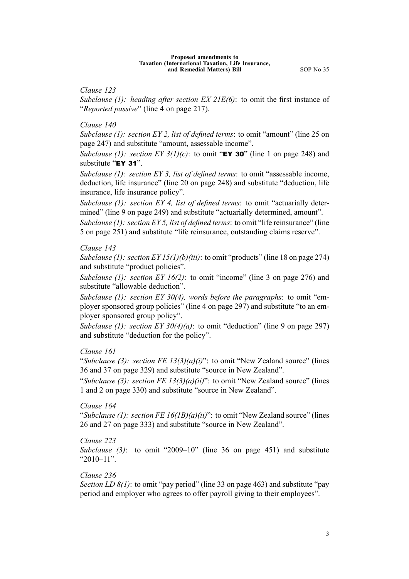*Clause 123*

*Subclause (1): heading after section EX 21E(6)*: to omit the first instance of "*Reported passive*" (line 4 on page 217).

*Clause 140*

*Subclause (1): section EY 2, list of defined terms*: to omit "amount" (line 25 on page 247) and substitute "amount, assessable income".

*Subclause* (1): *section EY* 3(1)(c): to omit "**EY 30**" (line 1 on page 248) and substitute "EY 31".

*Subclause (1): section EY 3, list of defined terms*: to omit "assessable income, deduction, life insurance" (line 20 on page 248) and substitute "deduction, life insurance, life insurance policy".

*Subclause (1): section EY 4, list of defined terms*: to omit "actuarially determined" (line 9 on page 249) and substitute "actuarially determined, amount".

*Subclause (1): section EY 5, list of defined terms*: to omit "life reinsurance" (line 5 on page 251) and substitute "life reinsurance, outstanding claims reserve".

#### *Clause 143*

*Subclause (1): section EY 15(1)(b)(iii)*: to omit "products" (line 18 on page 274) and substitute "product policies".

*Subclause (1): section EY 16(2)*: to omit "income" (line 3 on page 276) and substitute "allowable deduction".

*Subclause (1): section EY 30(4), words before the paragraphs*: to omit "employer sponsored group policies" (line 4 on page 297) and substitute "to an employer sponsored group policy".

*Subclause (1): section EY 30(4)(a)*: to omit "deduction" (line 9 on page 297) and substitute "deduction for the policy".

#### *Clause 161*

"*Subclause (3): section FE 13(3)(a)(i)*": to omit "New Zealand source" (lines 36 and 37 on page 329) and substitute "source in New Zealand".

"*Subclause (3): section FE 13(3)(a)(ii)*": to omit "New Zealand source" (lines 1 and 2 on page 330) and substitute "source in New Zealand".

#### *Clause 164*

"*Subclause (1): section FE 16(1B)(a)(ii)*": to omit "New Zealand source" (lines 26 and 27 on page 333) and substitute "source in New Zealand".

#### *Clause 223*

*Subclause (3)*: to omit "2009–10" (line 36 on page 451) and substitute "2010–11".

#### *Clause 236*

*Section LD 8(1)*: to omit "pay period" (line 33 on page 463) and substitute "pay period and employer who agrees to offer payroll giving to their employees".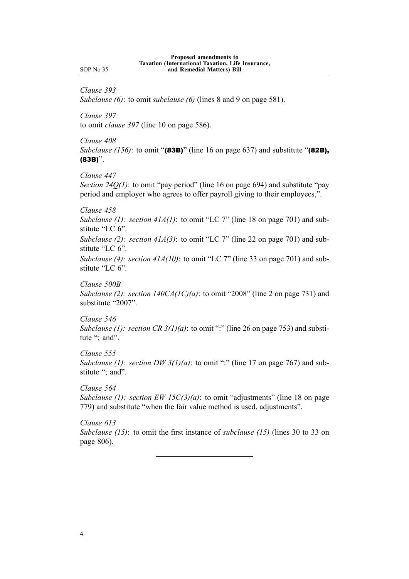*Clause 393*

*Subclause (6)*: to omit *subclause (6)* (lines 8 and 9 on page 581).

*Clause 397* to omit *clause 397* (line 10 on page 586).

*Clause 408*

*Subclause (156)*: to omit "(83B)" (line 16 on page 637) and substitute "(82B), (83B)".

*Clause 447*

*Section* 24*Q(1)*: to omit "pay period" (line 16 on page 694) and substitute "pay period and employer who agrees to offer payroll giving to their employees,".

*Clause 458*

*Subclause (1): section 41A(1)*: to omit "LC 7" (line 18 on page 701) and substitute "LC 6".

*Subclause (2): section 41A(3)*: to omit "LC 7" (line 22 on page 701) and substitute "LC 6".

*Subclause (4): section 41A(10)*: to omit "LC 7" (line 33 on page 701) and substitute "LC 6".

*Clause 500B*

*Subclause (2): section 140CA(1C)(a)*: to omit "2008" (line 2 on page 731) and substitute "2007".

*Clause 546 Subclause* (1): *section CR*  $3(1)(a)$ : to omit ":" (line 26 on page 753) and substitute "; and".

*Clause 555 Subclause* (1): *section DW*  $3(1)(a)$ : to omit ":" (line 17 on page 767) and substitute "; and".

*Clause 564 Subclause (1): section EW 15C(3)(a)*: to omit "adjustments" (line 18 on page 779) and substitute "when the fair value method is used, adjustments".

*Clause 613 Subclause (15)*: to omit the first instance of *subclause (15)* (lines 30 to 33 on page 806).